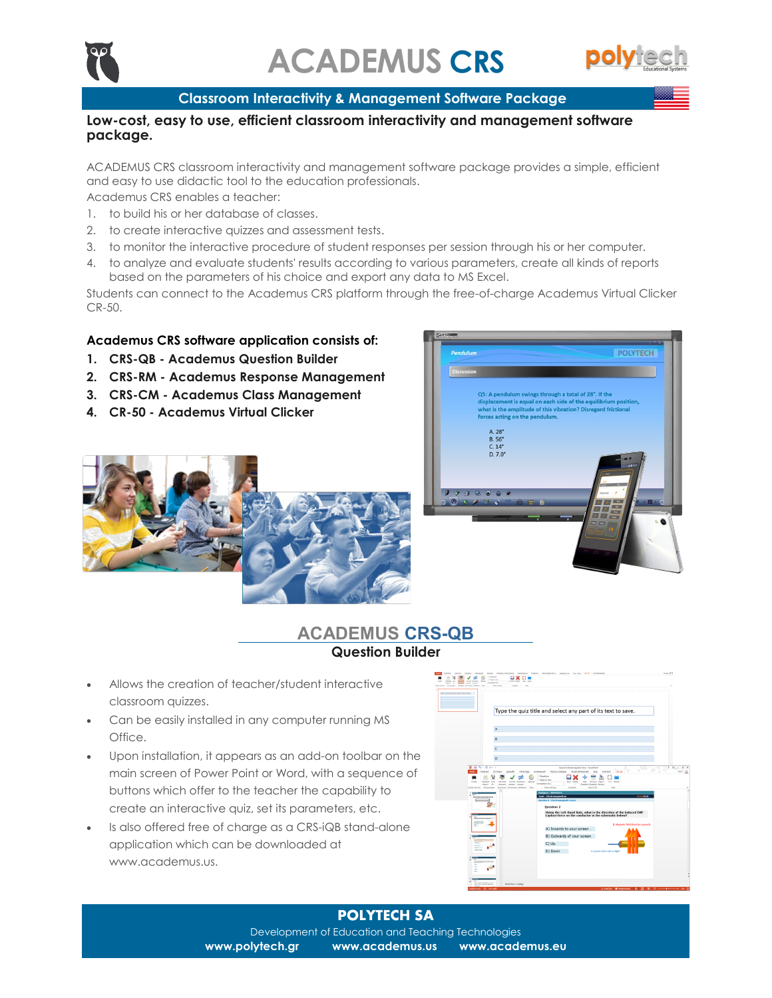

### **Classroom Interactivity & Management Software Package**

### **Low-cost, easy to use, efficient classroom interactivity and management software package.**

ACADEMUS CRS classroom interactivity and management software package provides a simple, efficient and easy to use didactic tool to the education professionals.

Academus CRS enables a teacher:

- 1. to build his or her database of classes.
- 2. to create interactive quizzes and assessment tests.
- 3. to monitor the interactive procedure of student responses per session through his or her computer.
- 4. to analyze and evaluate students' results according to various parameters, create all kinds of reports based on the parameters of his choice and export any data to MS Excel.

Students can connect to the Academus CRS platform through the free-of-charge Academus Virtual Clicker CR-50.

### **Academus CRS software application consists of:**

- **1. CRS-QB - Academus Question Builder**
- **2. CRS-RM - Academus Response Management**
- **3. CRS-CM - Academus Class Management**
- **4. CR-50 - Academus Virtual Clicker**





# **ACADEMUS CRS-QB Question Builder**

- Allows the creation of teacher/student interactive classroom quizzes.
- Can be easily installed in any computer running MS Office.
- Upon installation, it appears as an add-on toolbar on the main screen of Power Point or Word, with a sequence of buttons which offer to the teacher the capability to create an interactive quiz, set its parameters, etc.
- Is also offered free of charge as a CRS-iQB stand-alone application which can be downloaded at www.academus.us.



### **POLYTECH SA**

Development of Education and Teaching Technologies **www.polytech.gr www.academus.us www.academus.eu**